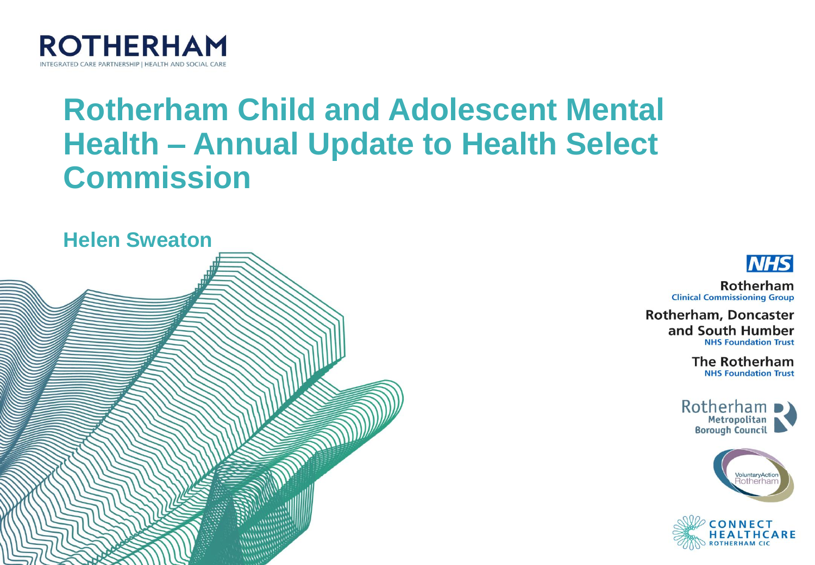

#### **Rotherham Child and Adolescent Mental Health - Annual Update to Health Select Commission**



**NHS** 

Rotherham **Clinical Commissioning Group** 

**Rotherham, Doncaster** and South Humber **NHS Foundation Trust** 

> **The Rotherham NHS Foundation Trust**





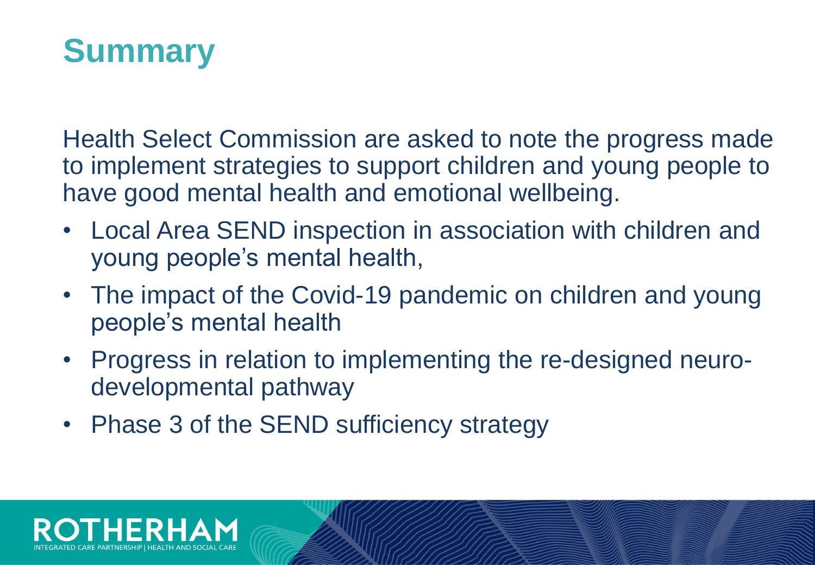#### **Summary**

Health Select Commission are asked to note the progress made to implement strategies to support children and young people to have good mental health and emotional wellbeing.

- Local Area SEND inspection in association with children and young people's mental health,
- The impact of the Covid-19 pandemic on children and young people's mental health
- Progress in relation to implementing the re-designed neurodevelopmental pathway
- Phase 3 of the SEND sufficiency strategy

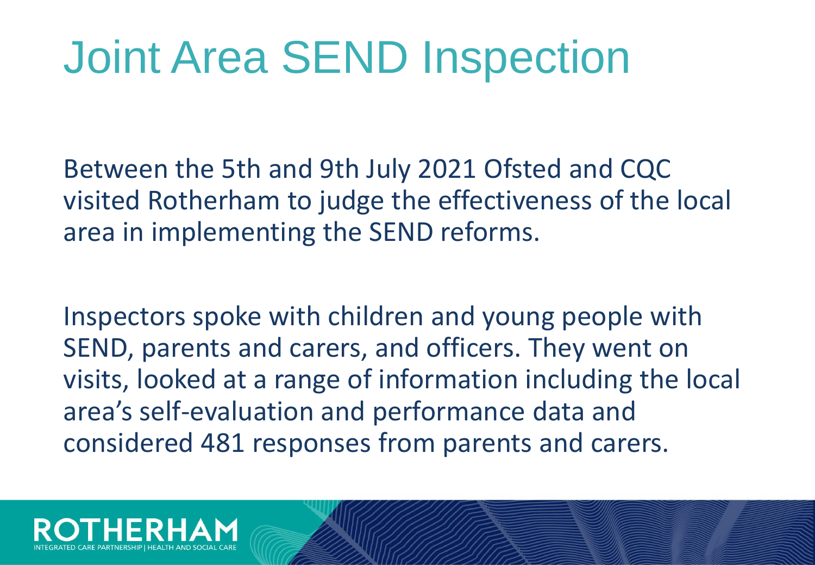# Joint Area SEND Inspection

Between the 5th and 9th July 2021 Ofsted and CQC visited Rotherham to judge the effectiveness of the local area in implementing the SEND reforms.

Inspectors spoke with children and young people with SEND, parents and carers, and officers. They went on visits, looked at a range of information including the local area's self-evaluation and performance data and considered 481 responses from parents and carers.

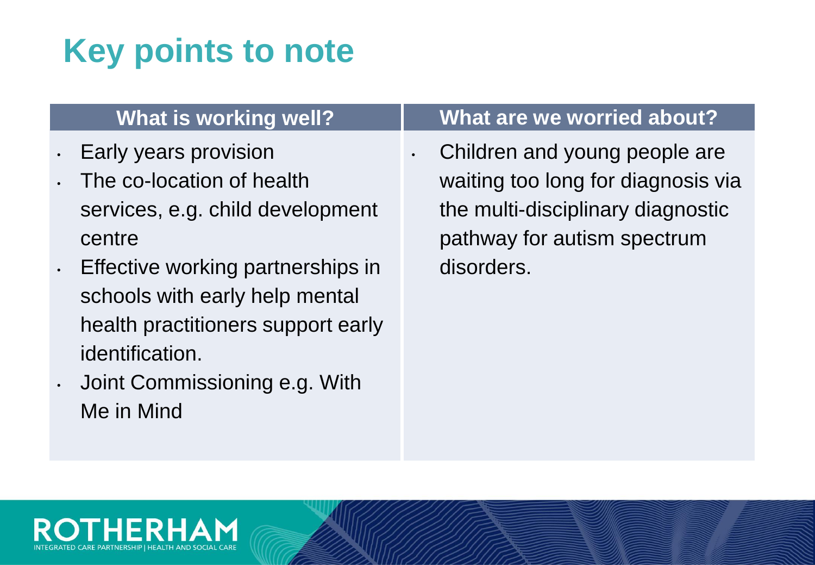#### **Key points to note**

- Early years provision
- The co-location of health services, e.g. child development centre
- Effective working partnerships in schools with early help mental health practitioners support early identification.
- Joint Commissioning e.g. With Me in Mind

#### **What is working well? What are we worried about?**

Children and young people are waiting too long for diagnosis via the multi-disciplinary diagnostic pathway for autism spectrum disorders.

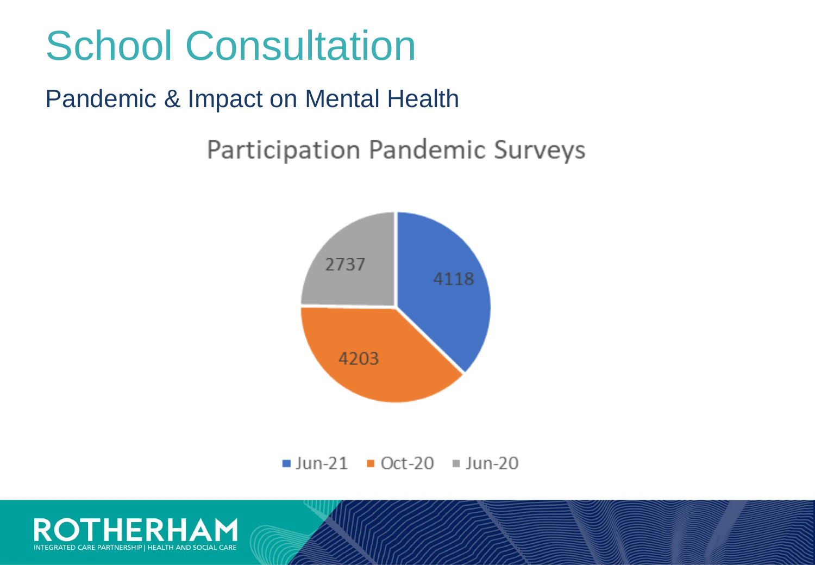#### School Consultation

#### Pandemic & Impact on Mental Health

Participation Pandemic Surveys





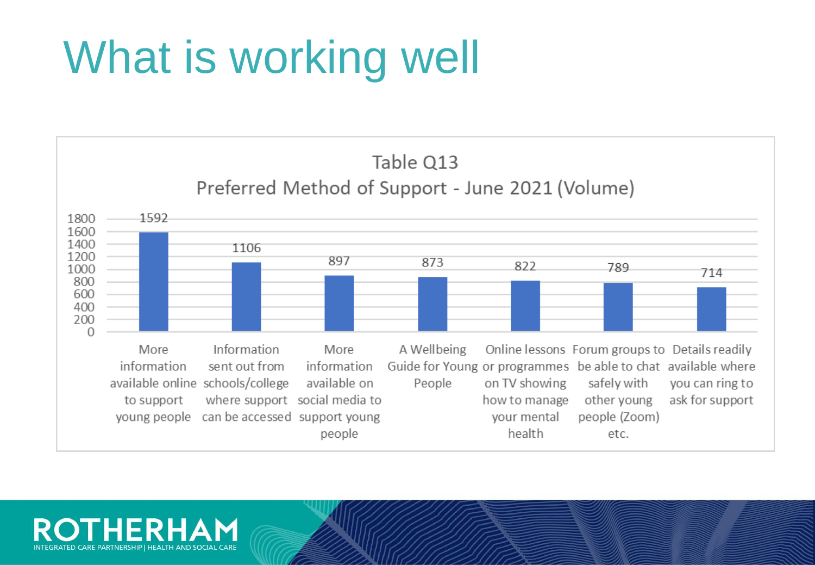# What is working well



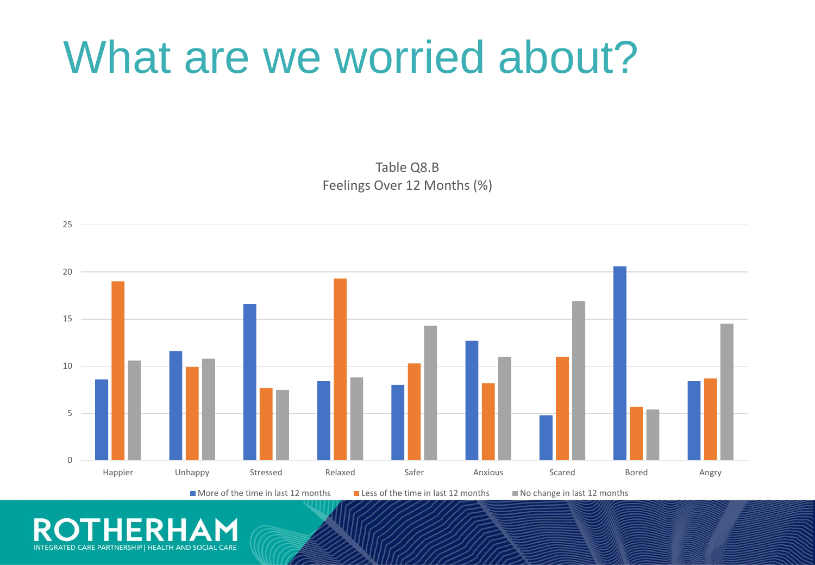#### What are we worried about?

Table Q8.B Feelings Over 12 Months (%)



R INTEGRATED CARE PARTNERSHIP I HEALTH AND SOCIAL CARE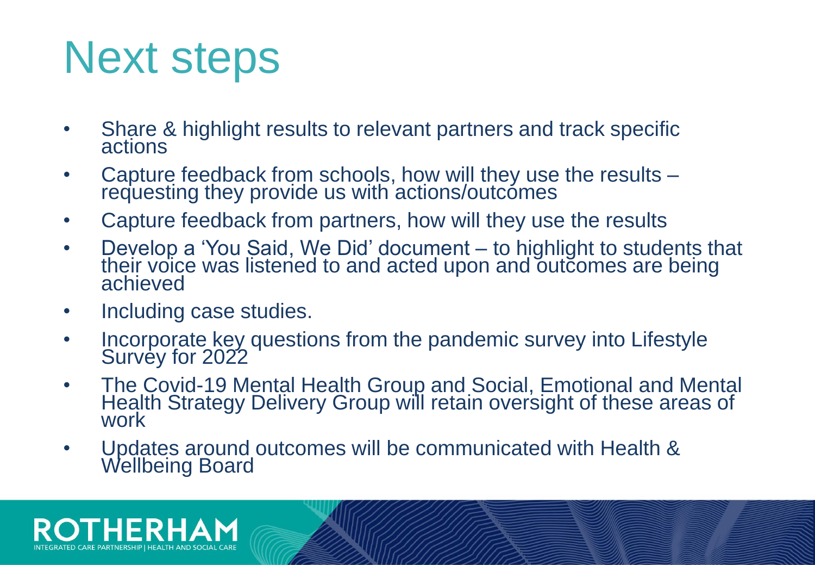## Next steps

- Share & highlight results to relevant partners and track specific actions
- Capture feedback from schools, how will they use the results requesting they provide us with actions/outcomes
- Capture feedback from partners, how will they use the results
- Develop a 'You Said, We Did' document to highlight to students that their voice was listened to and acted upon and outcomes are being achieved
- Including case studies.
- Incorporate key questions from the pandemic survey into Lifestyle Survey for 2022
- The Covid-19 Mental Health Group and Social, Emotional and Mental Health Strategy Delivery Group will retain oversight of these areas of work
- Updates around outcomes will be communicated with Health & Wellbeing Board

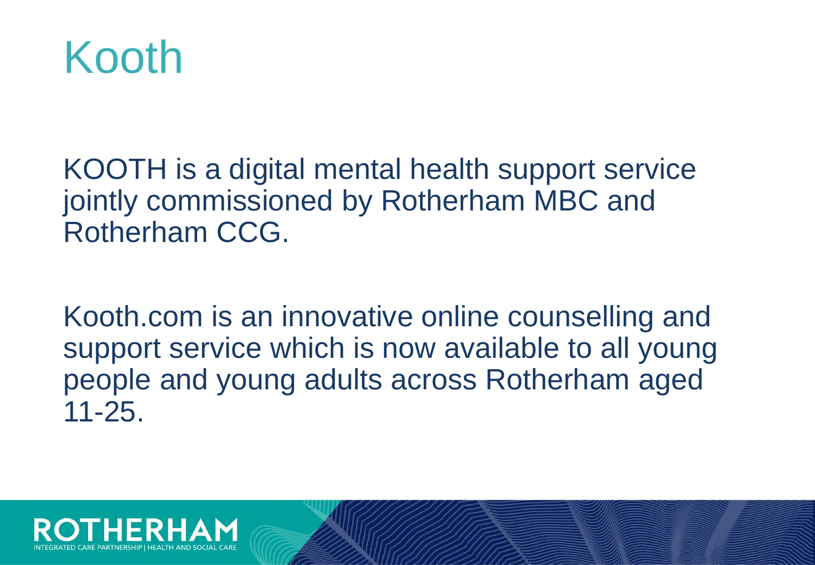

KOOTH is a digital mental health support service jointly commissioned by Rotherham MBC and Rotherham CCG.

Kooth.com is an innovative online counselling and support service which is now available to all young people and young adults across Rotherham aged 11-25.

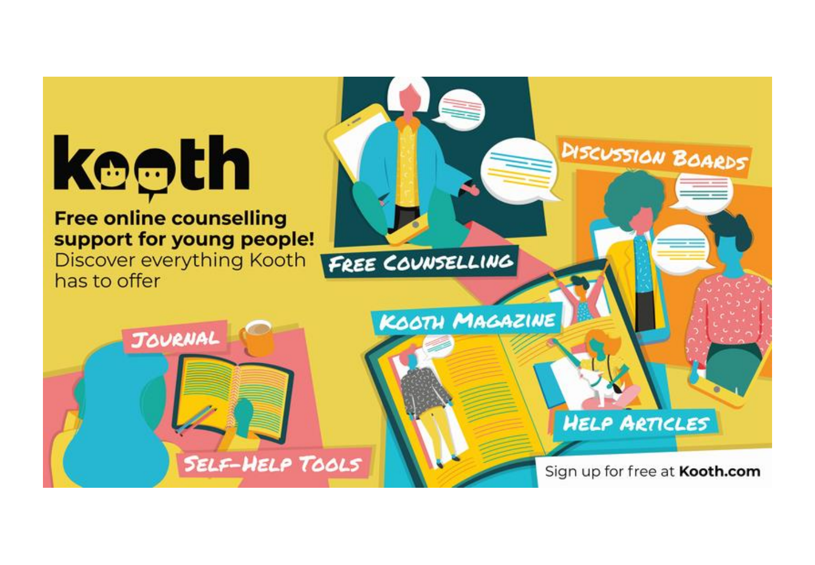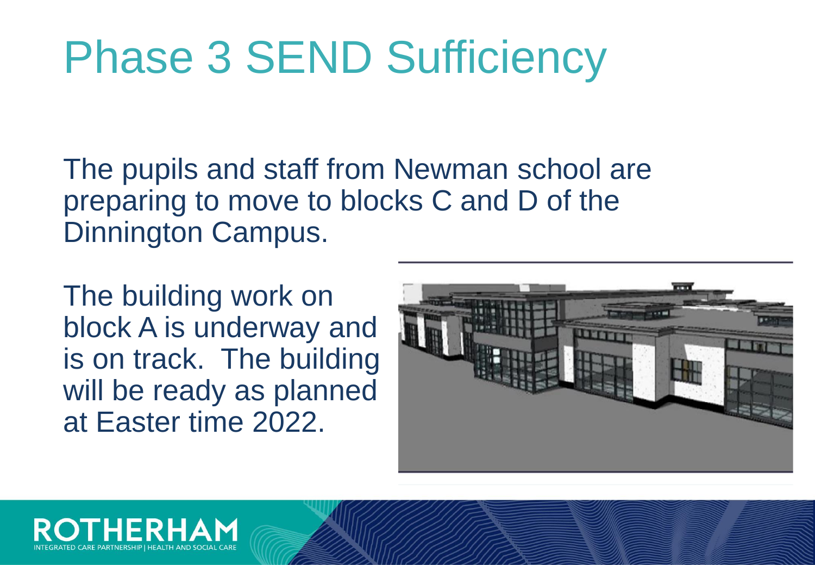# Phase 3 SEND Sufficiency

The pupils and staff from Newman school are preparing to move to blocks C and D of the Dinnington Campus.

The building work on block A is underway and is on track. The building will be ready as planned at Easter time 2022.



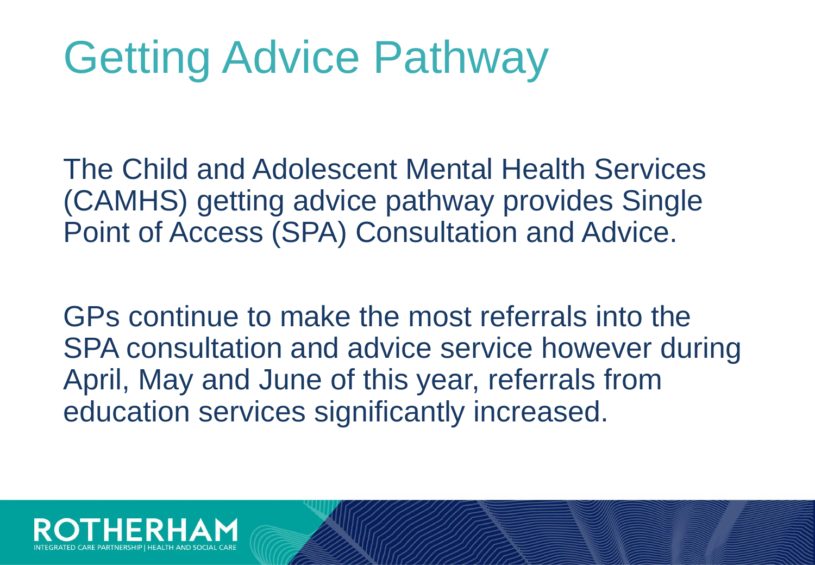# Getting Advice Pathway

The Child and Adolescent Mental Health Services (CAMHS) getting advice pathway provides Single Point of Access (SPA) Consultation and Advice.

GPs continue to make the most referrals into the SPA consultation and advice service however during April, May and June of this year, referrals from education services significantly increased.

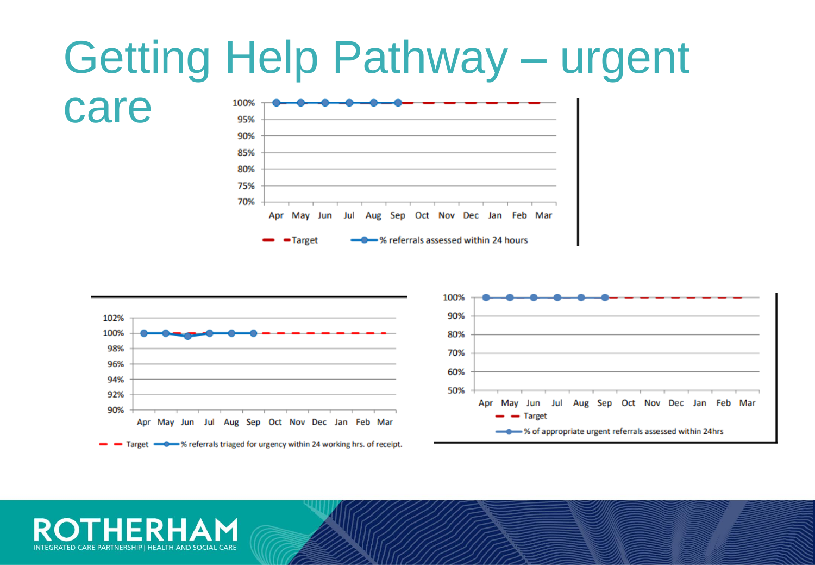



INTEGRATED CARE PARTNERSHIP | HEALTH AND SOCIAL CARE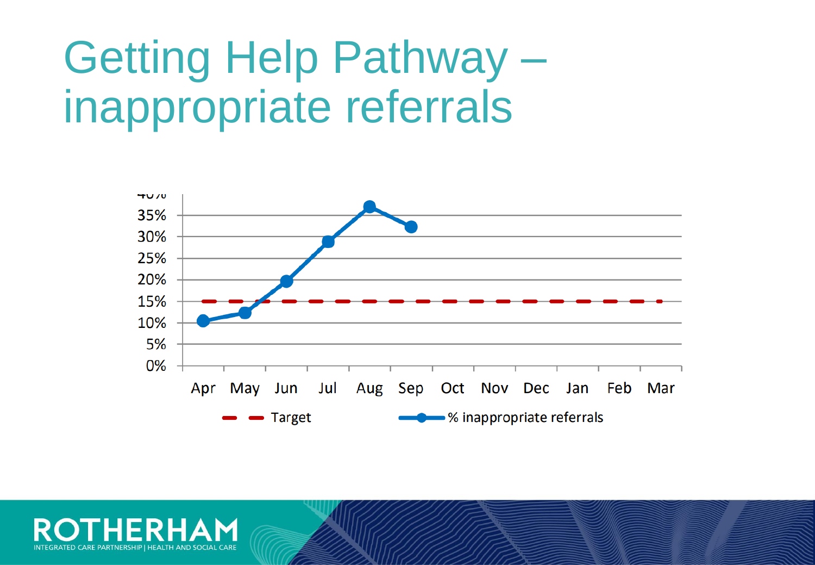## Getting Help Pathway – inappropriate referrals